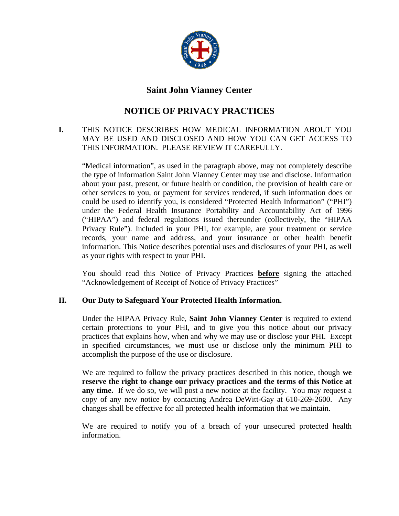

## **Saint John Vianney Center**

# **NOTICE OF PRIVACY PRACTICES**

### **I.** THIS NOTICE DESCRIBES HOW MEDICAL INFORMATION ABOUT YOU MAY BE USED AND DISCLOSED AND HOW YOU CAN GET ACCESS TO THIS INFORMATION. PLEASE REVIEW IT CAREFULLY.

"Medical information", as used in the paragraph above, may not completely describe the type of information Saint John Vianney Center may use and disclose. Information about your past, present, or future health or condition, the provision of health care or other services to you, or payment for services rendered, if such information does or could be used to identify you, is considered "Protected Health Information" ("PHI") under the Federal Health Insurance Portability and Accountability Act of 1996 ("HIPAA") and federal regulations issued thereunder (collectively, the "HIPAA Privacy Rule"). Included in your PHI, for example, are your treatment or service records, your name and address, and your insurance or other health benefit information. This Notice describes potential uses and disclosures of your PHI, as well as your rights with respect to your PHI.

You should read this Notice of Privacy Practices **before** signing the attached "Acknowledgement of Receipt of Notice of Privacy Practices"

## **II. Our Duty to Safeguard Your Protected Health Information.**

Under the HIPAA Privacy Rule, **Saint John Vianney Center** is required to extend certain protections to your PHI, and to give you this notice about our privacy practices that explains how, when and why we may use or disclose your PHI. Except in specified circumstances, we must use or disclose only the minimum PHI to accomplish the purpose of the use or disclosure.

We are required to follow the privacy practices described in this notice, though **we reserve the right to change our privacy practices and the terms of this Notice at any time.** If we do so, we will post a new notice at the facility. You may request a copy of any new notice by contacting Andrea DeWitt-Gay at 610-269-2600. Any changes shall be effective for all protected health information that we maintain.

We are required to notify you of a breach of your unsecured protected health information.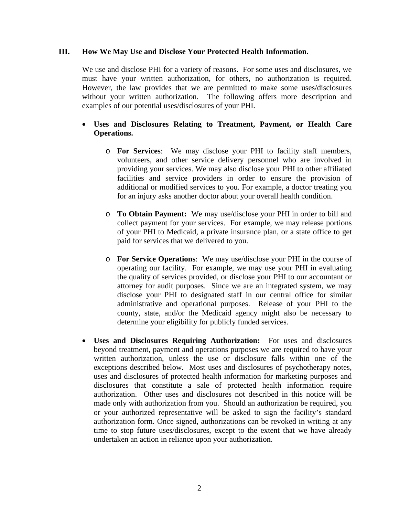#### **III. How We May Use and Disclose Your Protected Health Information.**

We use and disclose PHI for a variety of reasons. For some uses and disclosures, we must have your written authorization, for others, no authorization is required. However, the law provides that we are permitted to make some uses/disclosures without your written authorization. The following offers more description and examples of our potential uses/disclosures of your PHI.

## • **Uses and Disclosures Relating to Treatment, Payment, or Health Care Operations.**

- o **For Services**: We may disclose your PHI to facility staff members, volunteers, and other service delivery personnel who are involved in providing your services. We may also disclose your PHI to other affiliated facilities and service providers in order to ensure the provision of additional or modified services to you. For example, a doctor treating you for an injury asks another doctor about your overall health condition.
- o **To Obtain Payment:** We may use/disclose your PHI in order to bill and collect payment for your services. For example, we may release portions of your PHI to Medicaid, a private insurance plan, or a state office to get paid for services that we delivered to you.
- o **For Service Operations**: We may use/disclose your PHI in the course of operating our facility. For example, we may use your PHI in evaluating the quality of services provided, or disclose your PHI to our accountant or attorney for audit purposes. Since we are an integrated system, we may disclose your PHI to designated staff in our central office for similar administrative and operational purposes. Release of your PHI to the county, state, and/or the Medicaid agency might also be necessary to determine your eligibility for publicly funded services.
- **Uses and Disclosures Requiring Authorization:** For uses and disclosures beyond treatment, payment and operations purposes we are required to have your written authorization, unless the use or disclosure falls within one of the exceptions described below. Most uses and disclosures of psychotherapy notes, uses and disclosures of protected health information for marketing purposes and disclosures that constitute a sale of protected health information require authorization. Other uses and disclosures not described in this notice will be made only with authorization from you. Should an authorization be required, you or your authorized representative will be asked to sign the facility's standard authorization form. Once signed, authorizations can be revoked in writing at any time to stop future uses/disclosures, except to the extent that we have already undertaken an action in reliance upon your authorization.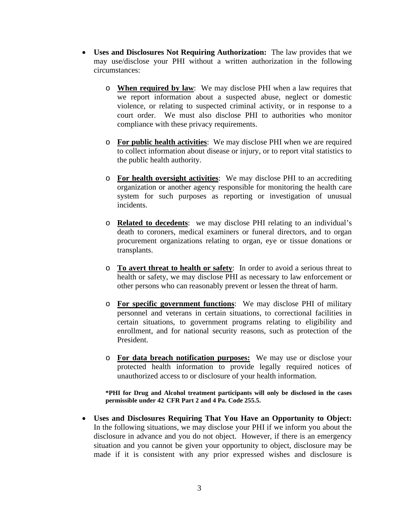- **Uses and Disclosures Not Requiring Authorization:** The law provides that we may use/disclose your PHI without a written authorization in the following circumstances:
	- o **When required by law**: We may disclose PHI when a law requires that we report information about a suspected abuse, neglect or domestic violence, or relating to suspected criminal activity, or in response to a court order. We must also disclose PHI to authorities who monitor compliance with these privacy requirements.
	- o **For public health activities**: We may disclose PHI when we are required to collect information about disease or injury, or to report vital statistics to the public health authority.
	- o **For health oversight activities**: We may disclose PHI to an accrediting organization or another agency responsible for monitoring the health care system for such purposes as reporting or investigation of unusual incidents.
	- o **Related to decedents**: we may disclose PHI relating to an individual's death to coroners, medical examiners or funeral directors, and to organ procurement organizations relating to organ, eye or tissue donations or transplants.
	- o **To avert threat to health or safety**: In order to avoid a serious threat to health or safety, we may disclose PHI as necessary to law enforcement or other persons who can reasonably prevent or lessen the threat of harm.
	- o **For specific government functions**: We may disclose PHI of military personnel and veterans in certain situations, to correctional facilities in certain situations, to government programs relating to eligibility and enrollment, and for national security reasons, such as protection of the President.
	- o **For data breach notification purposes:** We may use or disclose your protected health information to provide legally required notices of unauthorized access to or disclosure of your health information.

**\*PHI for Drug and Alcohol treatment participants will only be disclosed in the cases permissible under 42 CFR Part 2 and 4 Pa. Code 255.5.**

• **Uses and Disclosures Requiring That You Have an Opportunity to Object:**  In the following situations, we may disclose your PHI if we inform you about the disclosure in advance and you do not object. However, if there is an emergency situation and you cannot be given your opportunity to object, disclosure may be made if it is consistent with any prior expressed wishes and disclosure is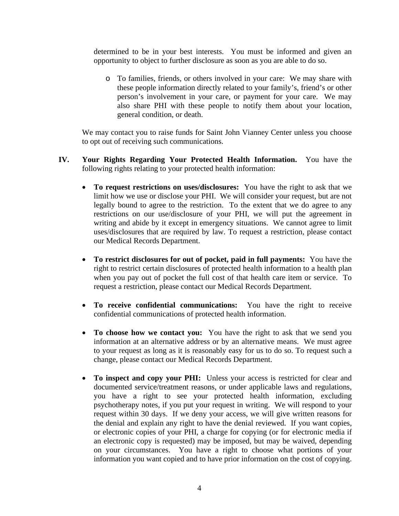determined to be in your best interests. You must be informed and given an opportunity to object to further disclosure as soon as you are able to do so.

o To families, friends, or others involved in your care: We may share with these people information directly related to your family's, friend's or other person's involvement in your care, or payment for your care. We may also share PHI with these people to notify them about your location, general condition, or death.

We may contact you to raise funds for Saint John Vianney Center unless you choose to opt out of receiving such communications.

- **IV. Your Rights Regarding Your Protected Health Information.** You have the following rights relating to your protected health information:
	- **To request restrictions on uses/disclosures:** You have the right to ask that we limit how we use or disclose your PHI. We will consider your request, but are not legally bound to agree to the restriction. To the extent that we do agree to any restrictions on our use/disclosure of your PHI, we will put the agreement in writing and abide by it except in emergency situations. We cannot agree to limit uses/disclosures that are required by law. To request a restriction, please contact our Medical Records Department.
	- **To restrict disclosures for out of pocket, paid in full payments:** You have the right to restrict certain disclosures of protected health information to a health plan when you pay out of pocket the full cost of that health care item or service. To request a restriction, please contact our Medical Records Department.
	- **To receive confidential communications:** You have the right to receive confidential communications of protected health information.
	- **To choose how we contact you:** You have the right to ask that we send you information at an alternative address or by an alternative means. We must agree to your request as long as it is reasonably easy for us to do so. To request such a change, please contact our Medical Records Department.
	- **To inspect and copy your PHI:** Unless your access is restricted for clear and documented service/treatment reasons, or under applicable laws and regulations, you have a right to see your protected health information, excluding psychotherapy notes, if you put your request in writing. We will respond to your request within 30 days. If we deny your access, we will give written reasons for the denial and explain any right to have the denial reviewed. If you want copies, or electronic copies of your PHI, a charge for copying (or for electronic media if an electronic copy is requested) may be imposed, but may be waived, depending on your circumstances. You have a right to choose what portions of your information you want copied and to have prior information on the cost of copying.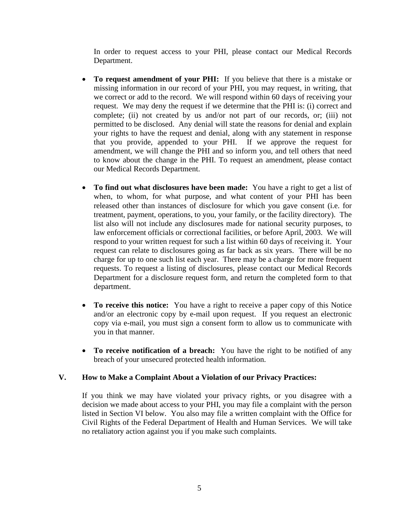In order to request access to your PHI, please contact our Medical Records Department.

- **To request amendment of your PHI:** If you believe that there is a mistake or missing information in our record of your PHI, you may request, in writing, that we correct or add to the record. We will respond within 60 days of receiving your request. We may deny the request if we determine that the PHI is: (i) correct and complete; (ii) not created by us and/or not part of our records, or; (iii) not permitted to be disclosed. Any denial will state the reasons for denial and explain your rights to have the request and denial, along with any statement in response that you provide, appended to your PHI. If we approve the request for amendment, we will change the PHI and so inform you, and tell others that need to know about the change in the PHI. To request an amendment, please contact our Medical Records Department.
- **To find out what disclosures have been made:** You have a right to get a list of when, to whom, for what purpose, and what content of your PHI has been released other than instances of disclosure for which you gave consent (i.e. for treatment, payment, operations, to you, your family, or the facility directory). The list also will not include any disclosures made for national security purposes, to law enforcement officials or correctional facilities, or before April, 2003. We will respond to your written request for such a list within 60 days of receiving it. Your request can relate to disclosures going as far back as six years. There will be no charge for up to one such list each year. There may be a charge for more frequent requests. To request a listing of disclosures, please contact our Medical Records Department for a disclosure request form, and return the completed form to that department.
- **To receive this notice:** You have a right to receive a paper copy of this Notice and/or an electronic copy by e-mail upon request. If you request an electronic copy via e-mail, you must sign a consent form to allow us to communicate with you in that manner.
- **To receive notification of a breach:** You have the right to be notified of any breach of your unsecured protected health information.

## **V. How to Make a Complaint About a Violation of our Privacy Practices:**

If you think we may have violated your privacy rights, or you disagree with a decision we made about access to your PHI, you may file a complaint with the person listed in Section VI below. You also may file a written complaint with the Office for Civil Rights of the Federal Department of Health and Human Services. We will take no retaliatory action against you if you make such complaints.